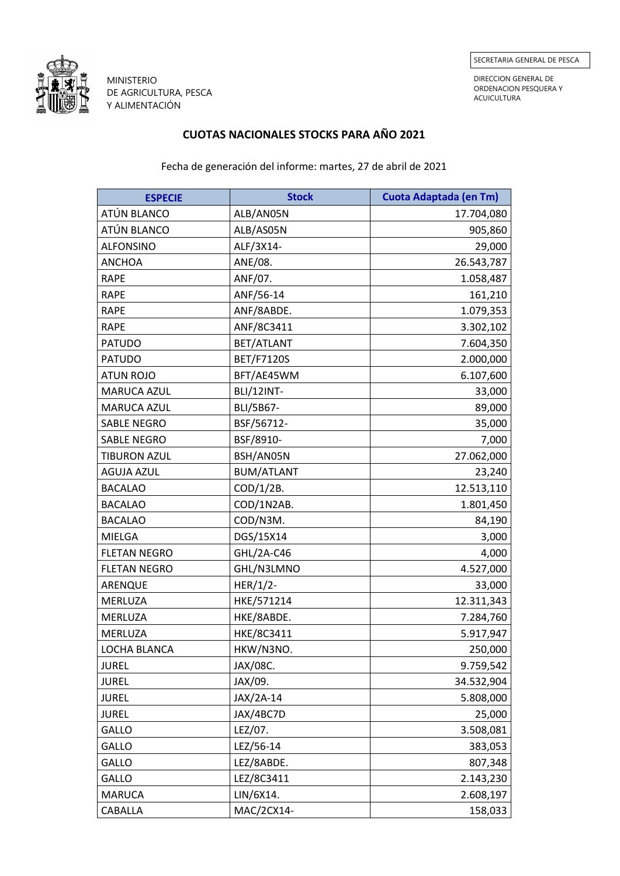

MINISTERIO DE AGRICULTURA, PESCA Y ALIMENTACIÓN

DIRECCION GENERAL DE ORDENACION PESQUERA Y ACUICULTURA

## **CUOTAS NACIONALES STOCKS PARA AÑO 2021**

Fecha de generación del informe: martes, 27 de abril de 2021

| <b>ESPECIE</b>      | <b>Stock</b>      | <b>Cuota Adaptada (en Tm)</b> |
|---------------------|-------------------|-------------------------------|
| ATÚN BLANCO         | ALB/AN05N         | 17.704,080                    |
| ATÚN BLANCO         | ALB/AS05N         | 905,860                       |
| <b>ALFONSINO</b>    | ALF/3X14-         | 29,000                        |
| <b>ANCHOA</b>       | ANE/08.           | 26.543,787                    |
| <b>RAPE</b>         | ANF/07.           | 1.058,487                     |
| <b>RAPE</b>         | ANF/56-14         | 161,210                       |
| <b>RAPE</b>         | ANF/8ABDE.        | 1.079,353                     |
| <b>RAPE</b>         | ANF/8C3411        | 3.302,102                     |
| <b>PATUDO</b>       | BET/ATLANT        | 7.604,350                     |
| <b>PATUDO</b>       | <b>BET/F7120S</b> | 2.000,000                     |
| <b>ATUN ROJO</b>    | BFT/AE45WM        | 6.107,600                     |
| MARUCA AZUL         | <b>BLI/12INT-</b> | 33,000                        |
| MARUCA AZUL         | BLI/5B67-         | 89,000                        |
| <b>SABLE NEGRO</b>  | BSF/56712-        | 35,000                        |
| <b>SABLE NEGRO</b>  | BSF/8910-         | 7,000                         |
| <b>TIBURON AZUL</b> | BSH/AN05N         | 27.062,000                    |
| <b>AGUJA AZUL</b>   | <b>BUM/ATLANT</b> | 23,240                        |
| <b>BACALAO</b>      | COD/1/2B.         | 12.513,110                    |
| <b>BACALAO</b>      | COD/1N2AB.        | 1.801,450                     |
| <b>BACALAO</b>      | COD/N3M.          | 84,190                        |
| <b>MIELGA</b>       | DGS/15X14         | 3,000                         |
| <b>FLETAN NEGRO</b> | GHL/2A-C46        | 4,000                         |
| <b>FLETAN NEGRO</b> | GHL/N3LMNO        | 4.527,000                     |
| ARENQUE             | $HER/1/2-$        | 33,000                        |
| <b>MERLUZA</b>      | HKE/571214        | 12.311,343                    |
| MERLUZA             | HKE/8ABDE.        | 7.284,760                     |
| MERLUZA             | <b>HKE/8C3411</b> | 5.917,947                     |
| LOCHA BLANCA        | HKW/N3NO.         | 250,000                       |
| <b>JUREL</b>        | JAX/08C.          | 9.759,542                     |
| <b>JUREL</b>        | JAX/09.           | 34.532,904                    |
| <b>JUREL</b>        | JAX/2A-14         | 5.808,000                     |
| <b>JUREL</b>        | JAX/4BC7D         | 25,000                        |
| GALLO               | LEZ/07.           | 3.508,081                     |
| GALLO               | LEZ/56-14         | 383,053                       |
| GALLO               | LEZ/8ABDE.        | 807,348                       |
| GALLO               | LEZ/8C3411        | 2.143,230                     |
| <b>MARUCA</b>       | LIN/6X14.         | 2.608,197                     |
| CABALLA             | MAC/2CX14-        | 158,033                       |